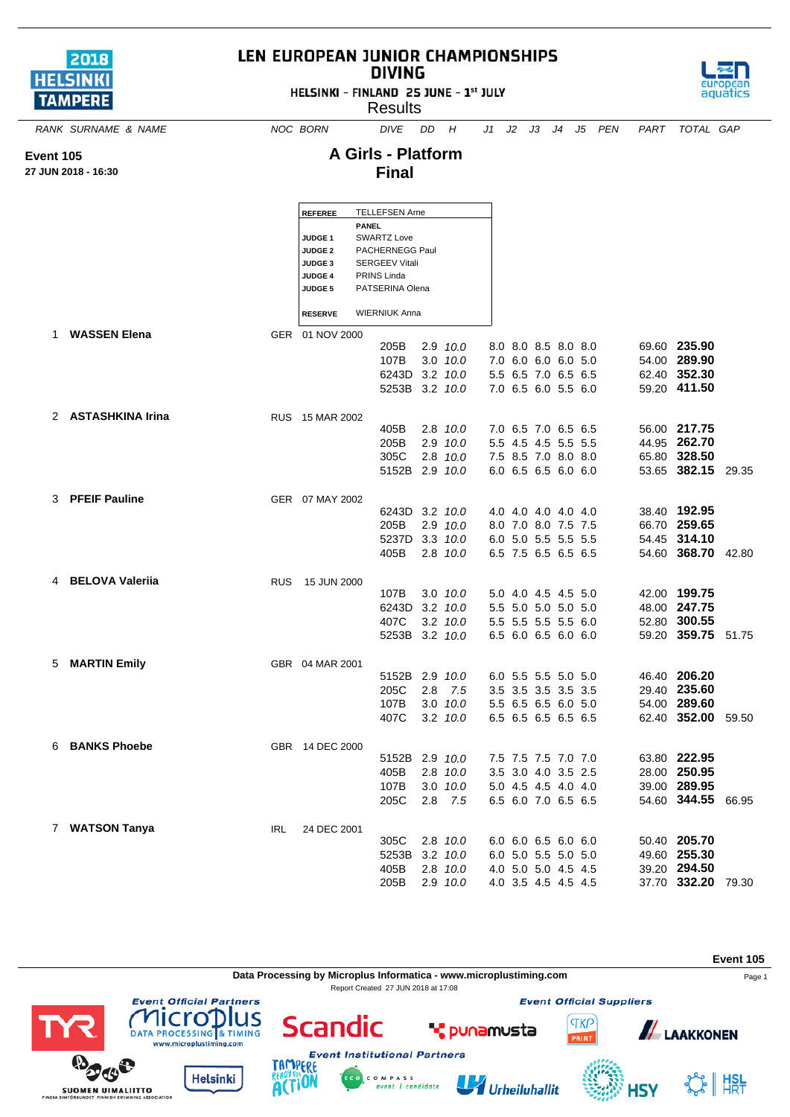

**Event 105 27 JUN 2018 - 16:30**

## LEN EUROPEAN JUNIOR CHAMPIONSHIPS **DIVING**

HELSINKI - FINLAND 25 JUNE - 1st JULY

**Results** 



*RANK SURNAME & NAME NOC BORN DIVE DD H J1 J2 J3 J4 J5 PEN PART TOTAL GAP*

## **A Girls - Platform Final**

|   |                        |            | REFEREE         |              | <b>TELLEFSEN Arne</b> |     |                  |  |                     |  |                    |  |
|---|------------------------|------------|-----------------|--------------|-----------------------|-----|------------------|--|---------------------|--|--------------------|--|
|   |                        |            |                 | <b>PANEL</b> |                       |     |                  |  |                     |  |                    |  |
|   |                        |            | <b>JUDGE 1</b>  |              | SWARTZ Love           |     |                  |  |                     |  |                    |  |
|   |                        |            | <b>JUDGE 2</b>  |              | PACHERNEGG Paul       |     |                  |  |                     |  |                    |  |
|   |                        |            | JUDGE 3         |              | <b>SERGEEV Vitali</b> |     |                  |  |                     |  |                    |  |
|   |                        |            | <b>JUDGE 4</b>  |              | PRINS Linda           |     |                  |  |                     |  |                    |  |
|   |                        |            | JUDGE 5         |              | PATSERINA Olena       |     |                  |  |                     |  |                    |  |
|   |                        |            | <b>RESERVE</b>  |              | <b>WIERNIUK Anna</b>  |     |                  |  |                     |  |                    |  |
| 1 | <b>WASSEN Elena</b>    |            | GER 01 NOV 2000 |              |                       |     |                  |  |                     |  |                    |  |
|   |                        |            |                 |              | 205B                  |     | $2.9$ $10.0$     |  | 8.0 8.0 8.5 8.0 8.0 |  | 69.60 235.90       |  |
|   |                        |            |                 |              | 107B                  |     | $3.0$ $10.0$     |  | 7.0 6.0 6.0 6.0 5.0 |  | 54.00 289.90       |  |
|   |                        |            |                 |              | 6243D 3.2 10.0        |     |                  |  | 5.5 6.5 7.0 6.5 6.5 |  | 62.40 352.30       |  |
|   |                        |            |                 |              | 5253B 3.2 10.0        |     |                  |  | 7.0 6.5 6.0 5.5 6.0 |  | 59.20 411.50       |  |
|   |                        |            |                 |              |                       |     |                  |  |                     |  |                    |  |
|   | 2 ASTASHKINA Irina     |            | RUS 15 MAR 2002 |              |                       |     |                  |  |                     |  |                    |  |
|   |                        |            |                 |              | 405B                  |     | $2.8$ $10.0$     |  | 7.0 6.5 7.0 6.5 6.5 |  | 56.00 217.75       |  |
|   |                        |            |                 |              | 205B                  |     | 2.9 10.0         |  | 5.5 4.5 4.5 5.5 5.5 |  | 44.95 262.70       |  |
|   |                        |            |                 |              | 305C                  |     | 2.8 10.0         |  | 7.5 8.5 7.0 8.0 8.0 |  | 65.80 328.50       |  |
|   |                        |            |                 |              | 5152B 2.9 10.0        |     |                  |  | 6.0 6.5 6.5 6.0 6.0 |  | 53.65 382.15 29.35 |  |
|   |                        |            |                 |              |                       |     |                  |  |                     |  |                    |  |
|   | 3 PFEIF Pauline        |            | GER 07 MAY 2002 |              |                       |     |                  |  |                     |  |                    |  |
|   |                        |            |                 |              | 6243D 3.2 10.0        |     |                  |  | 4.0 4.0 4.0 4.0 4.0 |  | 38.40 192.95       |  |
|   |                        |            |                 |              | 205B                  |     | 2.9 10.0         |  | 8.0 7.0 8.0 7.5 7.5 |  | 66.70 259.65       |  |
|   |                        |            |                 |              | 5237D                 |     | $3.3$ $10.0$     |  | 6.0 5.0 5.5 5.5 5.5 |  | 54.45 314.10       |  |
|   |                        |            |                 |              | 405B                  |     | 2.8 10.0         |  | 6.5 7.5 6.5 6.5 6.5 |  | 54.60 368.70 42.80 |  |
|   | <b>BELOVA Valeriia</b> | <b>RUS</b> | 15 JUN 2000     |              |                       |     |                  |  |                     |  |                    |  |
|   |                        |            |                 |              | 107B                  |     | $3.0$ $10.0$     |  | 5.0 4.0 4.5 4.5 5.0 |  | 42.00 199.75       |  |
|   |                        |            |                 |              | 6243D                 |     | $3.2$ $10.0$     |  | 5.5 5.0 5.0 5.0 5.0 |  | 48.00 247.75       |  |
|   |                        |            |                 |              | 407C                  |     | $3.2$ $10.0$     |  | 5.5 5.5 5.5 5.5 6.0 |  | 52.80 300.55       |  |
|   |                        |            |                 |              | 5253B 3.2 10.0        |     |                  |  | 6.5 6.0 6.5 6.0 6.0 |  | 59.20 359.75 51.75 |  |
|   |                        |            |                 |              |                       |     |                  |  |                     |  |                    |  |
| 5 | <b>MARTIN Emily</b>    |            | GBR 04 MAR 2001 |              |                       |     |                  |  |                     |  |                    |  |
|   |                        |            |                 |              | 5152B                 |     | $2.9$ $10.0$     |  | 6.0 5.5 5.5 5.0 5.0 |  | 46.40 206.20       |  |
|   |                        |            |                 |              | 205C                  | 2.8 | 7.5              |  | 3.5 3.5 3.5 3.5 3.5 |  | 29.40 235.60       |  |
|   |                        |            |                 |              | 107B                  |     | $3.0$ $10.0$     |  | 5.5 6.5 6.5 6.0 5.0 |  | 54.00 289.60       |  |
|   |                        |            |                 |              | 407C                  |     | $3.2 \quad 10.0$ |  | 6.5 6.5 6.5 6.5 6.5 |  | 62.40 352.00 59.50 |  |
|   |                        |            |                 |              |                       |     |                  |  |                     |  |                    |  |
|   | 6 BANKS Phoebe         |            | GBR 14 DEC 2000 |              |                       |     |                  |  |                     |  |                    |  |
|   |                        |            |                 |              | 5152B                 |     | 2.9 10.0         |  | 7.5 7.5 7.5 7.0 7.0 |  | 63.80 222.95       |  |
|   |                        |            |                 |              | 405B                  |     | 2.8 10.0         |  | 3.5 3.0 4.0 3.5 2.5 |  | 28.00 250.95       |  |
|   |                        |            |                 |              | 107B                  |     | $3.0$ $10.0$     |  | 5.0 4.5 4.5 4.0 4.0 |  | 39.00 289.95       |  |
|   |                        |            |                 |              | 205C                  | 2.8 | 7.5              |  | 6.5 6.0 7.0 6.5 6.5 |  | 54.60 344.55 66.95 |  |
|   | 7 WATSON Tanya         | <b>IRL</b> | 24 DEC 2001     |              |                       |     |                  |  |                     |  |                    |  |
|   |                        |            |                 |              | 305C                  |     | 2.8 10.0         |  | 6.0 6.0 6.5 6.0 6.0 |  | 50.40 205.70       |  |
|   |                        |            |                 |              | 5253B                 |     | $3.2$ $10.0$     |  | 6.0 5.0 5.5 5.0 5.0 |  | 49.60 255.30       |  |
|   |                        |            |                 |              | 405B                  |     | $2.8$ $10.0$     |  | 4.0 5.0 5.0 4.5 4.5 |  | 39.20 294.50       |  |
|   |                        |            |                 |              | 205B                  |     | 2.9 10.0         |  | 4.0 3.5 4.5 4.5 4.5 |  | 37.70 332.20 79.30 |  |
|   |                        |            |                 |              |                       |     |                  |  |                     |  |                    |  |

**Event 105 Data Processing by Microplus Informatica - www.microplustiming.com** Page 1 Report Created 27 JUN 2018 at 17:08**Event Official Partners Event Official Suppliers** lus licro Scandic **TKP \*** punamusta **ALAAKKONEN** DATA PROCESSING & TIMING PRINT www.microplustiming.com

C O M P A S S<br>event | candidate









 $\frac{1}{8}$  | HSL

**NPI**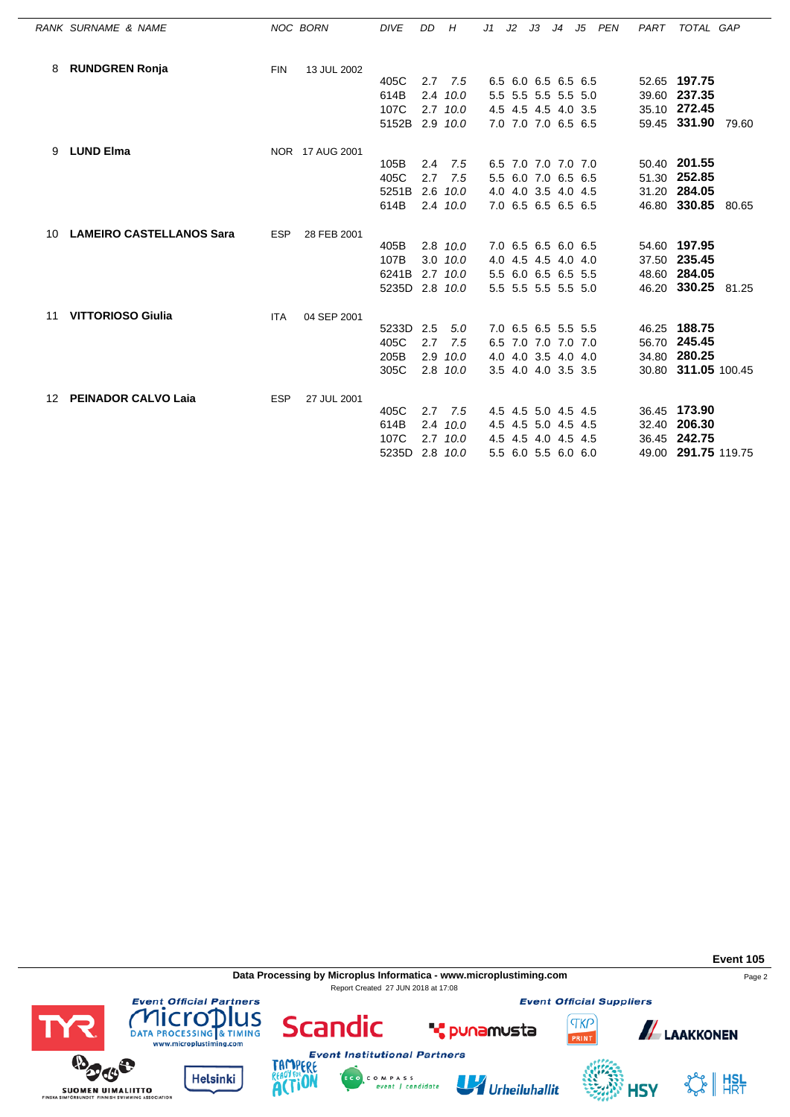|    | RANK SURNAME & NAME             |            | NOC BORN        | <b>DIVE</b>    | DD  | H            | J1 | J2 | JЗ |                     | J4 J5 PEN | PART | TOTAL GAP           |  |
|----|---------------------------------|------------|-----------------|----------------|-----|--------------|----|----|----|---------------------|-----------|------|---------------------|--|
| 8  | <b>RUNDGREN Ronja</b>           | <b>FIN</b> | 13 JUL 2002     |                |     |              |    |    |    |                     |           |      |                     |  |
|    |                                 |            |                 | 405C           |     | $2.7$ $7.5$  |    |    |    | 6.5 6.0 6.5 6.5 6.5 |           |      | 52.65 197.75        |  |
|    |                                 |            |                 | 614B           |     | 2.4 10.0     |    |    |    | 5.5 5.5 5.5 5.5 5.0 |           |      | 39.60 237.35        |  |
|    |                                 |            |                 | 107C           |     | $2.7$ $10.0$ |    |    |    | 4.5 4.5 4.5 4.0 3.5 |           |      | 35.10 272.45        |  |
|    |                                 |            |                 | 5152B 2.9 10.0 |     |              |    |    |    | 7.0 7.0 7.0 6.5 6.5 |           |      | 59.45 331.90 79.60  |  |
| 9  | <b>LUND Elma</b>                |            | NOR 17 AUG 2001 |                |     |              |    |    |    |                     |           |      |                     |  |
|    |                                 |            |                 | 105B           | 2.4 | 7.5          |    |    |    | 6.5 7.0 7.0 7.0 7.0 |           |      | 50.40 201.55        |  |
|    |                                 |            |                 | 405C           | 2.7 | 7.5          |    |    |    | 5.5 6.0 7.0 6.5 6.5 |           |      | 51.30 252.85        |  |
|    |                                 |            |                 | 5251B          |     | $2.6$ $10.0$ |    |    |    | 4.0 4.0 3.5 4.0 4.5 |           |      | 31.20 284.05        |  |
|    |                                 |            |                 | 614B           |     | 2.4 10.0     |    |    |    | 7.0 6.5 6.5 6.5 6.5 |           |      | 46.80 330.85 80.65  |  |
| 10 | <b>LAMEIRO CASTELLANOS Sara</b> | <b>ESP</b> | 28 FEB 2001     |                |     |              |    |    |    |                     |           |      |                     |  |
|    |                                 |            |                 | 405B           |     | 2.8 10.0     |    |    |    | 7.0 6.5 6.5 6.0 6.5 |           |      | 54.60 197.95        |  |
|    |                                 |            |                 | 107B           |     | $3.0$ $10.0$ |    |    |    | 4.0 4.5 4.5 4.0 4.0 |           |      | 37.50 235.45        |  |
|    |                                 |            |                 | 6241B          |     | $2.7$ 10.0   |    |    |    | 5.5 6.0 6.5 6.5 5.5 |           |      | 48.60 284.05        |  |
|    |                                 |            |                 | 5235D 2.8 10.0 |     |              |    |    |    | 5.5 5.5 5.5 5.5 5.0 |           |      | 46.20 330.25 81.25  |  |
| 11 | <b>VITTORIOSO Giulia</b>        | <b>ITA</b> | 04 SEP 2001     |                |     |              |    |    |    |                     |           |      |                     |  |
|    |                                 |            |                 | 5233D          | 2.5 | 5.0          |    |    |    | 7.0 6.5 6.5 5.5 5.5 |           |      | 46.25 188.75        |  |
|    |                                 |            |                 | 405C           | 2.7 | 7.5          |    |    |    | 6.5 7.0 7.0 7.0 7.0 |           |      | 56.70 245.45        |  |
|    |                                 |            |                 | 205B           |     | $2.9$ $10.0$ |    |    |    | 4.0 4.0 3.5 4.0 4.0 |           |      | 34.80 280.25        |  |
|    |                                 |            |                 | 305C           |     | 2.8 10.0     |    |    |    | 3.5 4.0 4.0 3.5 3.5 |           |      | 30.80 311.05 100.45 |  |
| 12 | <b>PEINADOR CALVO Laia</b>      | <b>ESP</b> | 27 JUL 2001     |                |     |              |    |    |    |                     |           |      |                     |  |
|    |                                 |            |                 | 405C           | 2.7 | 7.5          |    |    |    | 4.5 4.5 5.0 4.5 4.5 |           |      | 36.45 173.90        |  |
|    |                                 |            |                 | 614B           |     | 2.4 10.0     |    |    |    | 4.5 4.5 5.0 4.5 4.5 |           |      | 32.40 206.30        |  |
|    |                                 |            |                 | 107C           |     | $2.7$ 10.0   |    |    |    | 4.5 4.5 4.0 4.5 4.5 |           |      | 36.45 242.75        |  |
|    |                                 |            |                 | 5235D          |     | 2.8 10.0     |    |    |    | 5.5 6.0 5.5 6.0 6.0 |           |      | 49.00 291.75 119.75 |  |

**Data Processing by Microplus Informatica - www.microplustiming.com** Page 2 Report Created 27 JUN 2018 at 17:08

**Event Official Partners** 

**COMPLETED**<br>DATA PROCESSING & TIMING<br>www.microplustiming.com

**Helsinki** 

TAMP ERE

**ACTION** 

**BOOS** 

**SUOMEN UIMALIITTO** 

**Event Official Suppliers** 

**TKP** 

**Event 105**



Urheiluhallit



**ALAAKKONEN** 

SS HISL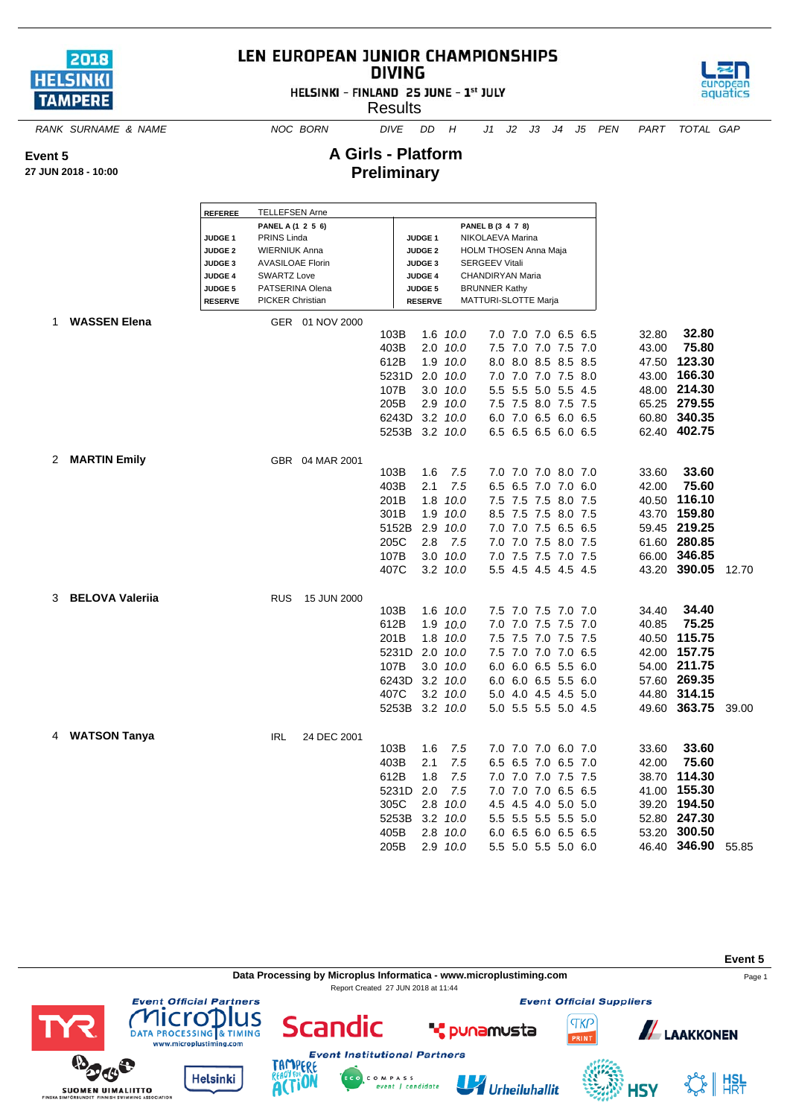

## LEN EUROPEAN JUNIOR CHAMPIONSHIPS **DIVING**

HELSINKI - FINLAND 25 JUNE - 1st JULY

**Results** 



*RANK SURNAME & NAME NOC BORN DIVE DD H J1 J2 J3 J4 J5 PEN PART TOTAL GAP*

**A Girls - Platform Preliminary**

**27 JUN 2018 - 10:00**

**Event 5**

|   |                        | <b>REFEREE</b>     | <b>TELLEFSEN Arne</b>   |                 |                |                |                  |                              |     |     |                     |       |              |       |
|---|------------------------|--------------------|-------------------------|-----------------|----------------|----------------|------------------|------------------------------|-----|-----|---------------------|-------|--------------|-------|
|   |                        |                    | PANEL A (1 2 5 6)       |                 |                |                |                  | PANEL B (3 4 7 8)            |     |     |                     |       |              |       |
|   |                        | JUDGE <sub>1</sub> | PRINS Linda             |                 |                | <b>JUDGE 1</b> |                  | NIKOLAEVA Marina             |     |     |                     |       |              |       |
|   |                        | <b>JUDGE 2</b>     | <b>WIERNIUK Anna</b>    |                 |                | <b>JUDGE 2</b> |                  | <b>HOLM THOSEN Anna Maja</b> |     |     |                     |       |              |       |
|   |                        | JUDGE <sub>3</sub> | <b>AVASILOAE Florin</b> |                 |                | <b>JUDGE 3</b> |                  | <b>SERGEEV Vitali</b>        |     |     |                     |       |              |       |
|   |                        | JUDGE 4            | <b>SWARTZ Love</b>      |                 |                | JUDGE 4        |                  | CHANDIRYAN Maria             |     |     |                     |       |              |       |
|   |                        | <b>JUDGE 5</b>     | PATSERINA Olena         |                 |                | <b>JUDGE 5</b> |                  | <b>BRUNNER Kathy</b>         |     |     |                     |       |              |       |
|   |                        | <b>RESERVE</b>     | <b>PICKER Christian</b> |                 |                | <b>RESERVE</b> |                  | MATTURI-SLOTTE Marja         |     |     |                     |       |              |       |
|   | 1 WASSEN Elena         |                    |                         | GER 01 NOV 2000 |                |                |                  |                              |     |     |                     |       |              |       |
|   |                        |                    |                         |                 | 103B           |                | 1.6 10.0         |                              |     |     | 7.0 7.0 7.0 6.5 6.5 | 32.80 | 32.80        |       |
|   |                        |                    |                         |                 | 403B           |                | 2.0 10.0         |                              |     |     | 7.5 7.0 7.0 7.5 7.0 | 43.00 | 75.80        |       |
|   |                        |                    |                         |                 | 612B           | 1.9            | 10.0             | 8.0                          |     |     | 8.0 8.5 8.5 8.5     | 47.50 | 123.30       |       |
|   |                        |                    |                         |                 | 5231D 2.0 10.0 |                |                  |                              |     |     | 7.0 7.0 7.0 7.5 8.0 |       | 43.00 166.30 |       |
|   |                        |                    |                         |                 | 107B           |                | $3.0$ $10.0$     | 5.5                          |     |     | 5.5 5.0 5.5 4.5     |       | 48.00 214.30 |       |
|   |                        |                    |                         |                 | 205B           |                | $2.9$ $10.0$     |                              |     |     | 7.5 7.5 8.0 7.5 7.5 |       | 65.25 279.55 |       |
|   |                        |                    |                         |                 |                |                |                  |                              |     |     |                     |       |              |       |
|   |                        |                    |                         |                 | 6243D          |                | $3.2 \quad 10.0$ |                              |     |     | 6.0 7.0 6.5 6.0 6.5 |       | 60.80 340.35 |       |
|   |                        |                    |                         |                 | 5253B 3.2 10.0 |                |                  |                              |     |     | 6.5 6.5 6.5 6.0 6.5 |       | 62.40 402.75 |       |
| 2 | <b>MARTIN Emily</b>    |                    |                         | GBR 04 MAR 2001 |                |                |                  |                              |     |     |                     |       |              |       |
|   |                        |                    |                         |                 | 103B           | 1.6            | 7.5              |                              |     |     | 7.0 7.0 7.0 8.0 7.0 | 33.60 | 33.60        |       |
|   |                        |                    |                         |                 | 403B           | 2.1            | 7.5              | 6.5                          | 6.5 |     | 7.0 7.0 6.0         | 42.00 | 75.60        |       |
|   |                        |                    |                         |                 |                |                |                  |                              |     |     |                     |       |              |       |
|   |                        |                    |                         |                 | 201B           | 1.8            | 10.0             |                              |     |     | 7.5 7.5 7.5 8.0 7.5 |       | 40.50 116.10 |       |
|   |                        |                    |                         |                 | 301B           | 1.9            | 10.0             | 8.5                          | 7.5 | 7.5 | 8.0 7.5             |       | 43.70 159.80 |       |
|   |                        |                    |                         |                 | 5152B 2.9      |                | 10.0             |                              |     |     | 7.0 7.0 7.5 6.5 6.5 |       | 59.45 219.25 |       |
|   |                        |                    |                         |                 | 205C           | 2.8            | 7.5              |                              |     |     | 7.0 7.0 7.5 8.0 7.5 |       | 61.60 280.85 |       |
|   |                        |                    |                         |                 | 107B           | 3.0            | 10.0             |                              |     |     | 7.0 7.5 7.5 7.0 7.5 |       | 66.00 346.85 |       |
|   |                        |                    |                         |                 | 407C           |                | 3.2 10.0         |                              |     |     | 5.5 4.5 4.5 4.5 4.5 |       | 43.20 390.05 | 12.70 |
|   |                        |                    |                         |                 |                |                |                  |                              |     |     |                     |       |              |       |
| 3 | <b>BELOVA Valerija</b> |                    | <b>RUS</b>              | 15 JUN 2000     | 103B           |                | 1.6 10.0         |                              |     |     | 7.5 7.0 7.5 7.0 7.0 | 34.40 | 34.40        |       |
|   |                        |                    |                         |                 |                |                |                  |                              |     |     |                     |       | 75.25        |       |
|   |                        |                    |                         |                 | 612B           |                | 1.9 10.0         | 7.0                          |     |     | 7.0 7.5 7.5 7.0     | 40.85 |              |       |
|   |                        |                    |                         |                 | 201B           | 1.8            | 10.0             | 7.5                          | 7.5 |     | 7.0 7.5 7.5         |       | 40.50 115.75 |       |
|   |                        |                    |                         |                 | 5231D 2.0 10.0 |                |                  |                              |     |     | 7.5 7.0 7.0 7.0 6.5 |       | 42.00 157.75 |       |
|   |                        |                    |                         |                 | 107B           |                | $3.0$ $10.0$     |                              |     |     | 6.0 6.0 6.5 5.5 6.0 |       | 54.00 211.75 |       |
|   |                        |                    |                         |                 | 6243D          |                | $3.2$ $10.0$     |                              |     |     | 6.0 6.0 6.5 5.5 6.0 |       | 57.60 269.35 |       |
|   |                        |                    |                         |                 | 407C           |                | $3.2$ $10.0$     |                              |     |     | 5.0 4.0 4.5 4.5 5.0 |       | 44.80 314.15 |       |
|   |                        |                    |                         |                 | 5253B          |                | $3.2$ $10.0$     |                              |     |     | 5.0 5.5 5.5 5.0 4.5 |       | 49.60 363.75 | 39.00 |
|   |                        |                    |                         |                 |                |                |                  |                              |     |     |                     |       |              |       |
|   | 4 WATSON Tanya         |                    | <b>IRL</b>              | 24 DEC 2001     |                |                |                  |                              |     |     |                     |       |              |       |
|   |                        |                    |                         |                 | 103B           | 1.6            | 7.5              |                              |     |     | 7.0 7.0 7.0 6.0 7.0 | 33.60 | 33.60        |       |
|   |                        |                    |                         |                 | 403B           | 2.1            | 7.5              | 6.5                          | 6.5 |     | 7.0 6.5 7.0         | 42.00 | 75.60        |       |
|   |                        |                    |                         |                 | 612B           | 1.8            | 7.5              |                              |     |     | 7.0 7.0 7.0 7.5 7.5 |       | 38.70 114.30 |       |
|   |                        |                    |                         |                 | 5231D          | 2.0            | 7.5              |                              |     |     | 7.0 7.0 7.0 6.5 6.5 |       | 41.00 155.30 |       |
|   |                        |                    |                         |                 | 305C           | 2.8            | 10.0             |                              |     |     | 4.5 4.5 4.0 5.0 5.0 |       | 39.20 194.50 |       |
|   |                        |                    |                         |                 | 5253B          |                | $3.2 \quad 10.0$ |                              |     |     | 5.5 5.5 5.5 5.5 5.0 |       | 52.80 247.30 |       |
|   |                        |                    |                         |                 | 405B           | 2.8            | 10.0             |                              |     |     | 6.0 6.5 6.0 6.5 6.5 | 53.20 | 300.50       |       |
|   |                        |                    |                         |                 | 205B           |                | 2.9 10.0         |                              |     |     | 5.5 5.0 5.5 5.0 6.0 |       | 46.40 346.90 | 55.85 |
|   |                        |                    |                         |                 |                |                |                  |                              |     |     |                     |       |              |       |



**Event Official Partners** 

DATA PROCESSING & TIMING

www.microplustiming.com

**Helsinki** 

lus

cro

 $\sigma$ 

**SUOMEN UIMALIITTO** 

**Event Official Suppliers TKP** 

RINT

**Event 5**

LAAKKONEN



U Urheiluhallit



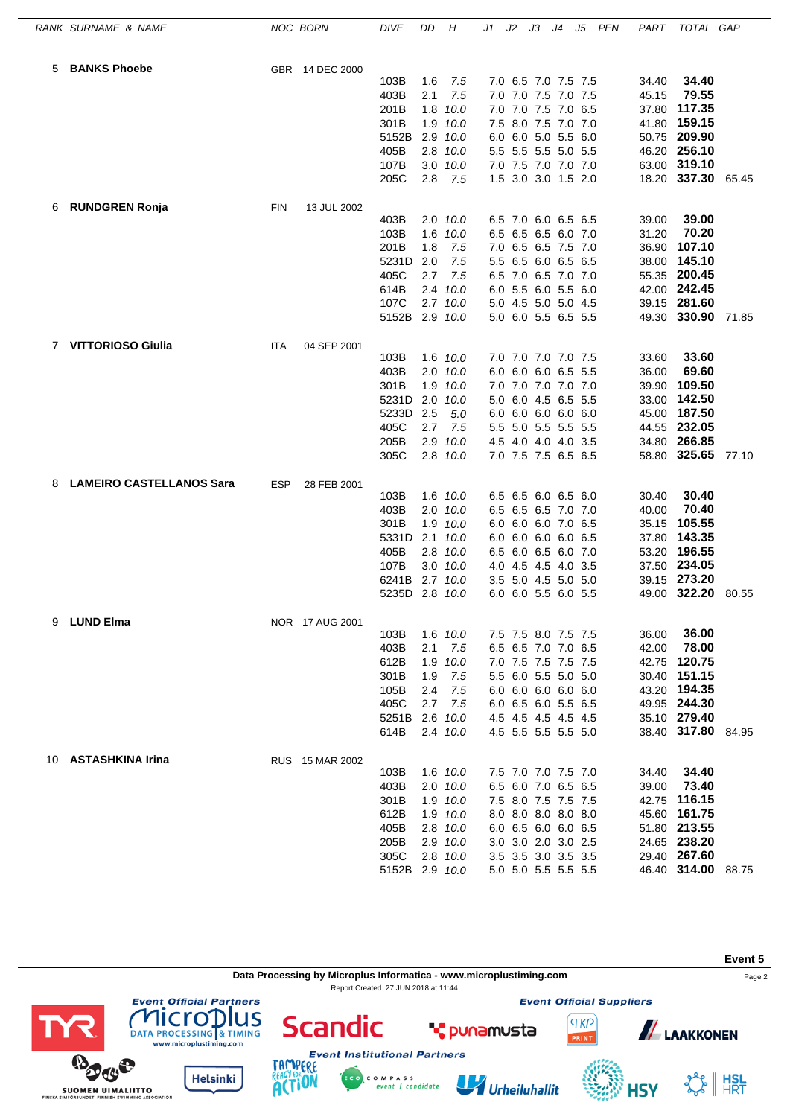|                | RANK SURNAME & NAME             |            | NOC BORN        | <b>DIVE</b>    | DD  | H            | J1 | J2 | JЗ | J4                  | J5 | PEN | PART  | TOTAL GAP          |       |
|----------------|---------------------------------|------------|-----------------|----------------|-----|--------------|----|----|----|---------------------|----|-----|-------|--------------------|-------|
| 5              | <b>BANKS Phoebe</b>             |            | GBR 14 DEC 2000 |                |     |              |    |    |    |                     |    |     |       |                    |       |
|                |                                 |            |                 | 103B           | 1.6 | 7.5          |    |    |    | 7.0 6.5 7.0 7.5 7.5 |    |     | 34.40 | 34.40              |       |
|                |                                 |            |                 | 403B           | 2.1 | 7.5          |    |    |    | 7.0 7.0 7.5 7.0 7.5 |    |     | 45.15 | 79.55              |       |
|                |                                 |            |                 | 201B           |     | 1.8 10.0     |    |    |    | 7.0 7.0 7.5 7.0 6.5 |    |     |       | 37.80 117.35       |       |
|                |                                 |            |                 | 301B           |     | 1.9 10.0     |    |    |    | 7.5 8.0 7.5 7.0 7.0 |    |     |       | 41.80 159.15       |       |
|                |                                 |            |                 | 5152B          |     | 2.9 10.0     |    |    |    | 6.0 6.0 5.0 5.5 6.0 |    |     |       | 50.75 209.90       |       |
|                |                                 |            |                 | 405B           |     | 2.8 10.0     |    |    |    | 5.5 5.5 5.5 5.0 5.5 |    |     |       | 46.20 256.10       |       |
|                |                                 |            |                 | 107B           |     | 3.0 10.0     |    |    |    | 7.0 7.5 7.0 7.0 7.0 |    |     |       | 63.00 319.10       |       |
|                |                                 |            |                 | 205C           | 2.8 | 7.5          |    |    |    | 1.5 3.0 3.0 1.5 2.0 |    |     |       | 18.20 337.30 65.45 |       |
| 6              | <b>RUNDGREN Ronja</b>           | <b>FIN</b> | 13 JUL 2002     |                |     |              |    |    |    |                     |    |     |       |                    |       |
|                |                                 |            |                 | 403B           |     | 2.0 10.0     |    |    |    | 6.5 7.0 6.0 6.5 6.5 |    |     | 39.00 | 39.00              |       |
|                |                                 |            |                 | 103B           | 1.6 | 10.0         |    |    |    | 6.5 6.5 6.5 6.0 7.0 |    |     | 31.20 | 70.20              |       |
|                |                                 |            |                 | 201B           | 1.8 | 7.5          |    |    |    | 7.0 6.5 6.5 7.5 7.0 |    |     |       | 36.90 107.10       |       |
|                |                                 |            |                 | 5231D          | 2.0 | 7.5          |    |    |    | 5.5 6.5 6.0 6.5 6.5 |    |     |       | 38.00 145.10       |       |
|                |                                 |            |                 | 405C           | 2.7 | 7.5          |    |    |    | 6.5 7.0 6.5 7.0 7.0 |    |     |       | 55.35 200.45       |       |
|                |                                 |            |                 | 614B           | 2.4 | 10.0         |    |    |    | 6.0 5.5 6.0 5.5 6.0 |    |     |       | 42.00 242.45       |       |
|                |                                 |            |                 | 107C           |     | $2.7$ $10.0$ |    |    |    | 5.0 4.5 5.0 5.0 4.5 |    |     |       | 39.15 281.60       |       |
|                |                                 |            |                 | 5152B 2.9 10.0 |     |              |    |    |    | 5.0 6.0 5.5 6.5 5.5 |    |     |       | 49.30 330.90 71.85 |       |
| $\overline{7}$ | <b>VITTORIOSO Giulia</b>        | <b>ITA</b> | 04 SEP 2001     |                |     |              |    |    |    |                     |    |     |       |                    |       |
|                |                                 |            |                 | 103B           |     | 1.6 10.0     |    |    |    | 7.0 7.0 7.0 7.0 7.5 |    |     | 33.60 | 33.60              |       |
|                |                                 |            |                 | 403B           |     | $2.0$ $10.0$ |    |    |    | 6.0 6.0 6.0 6.5 5.5 |    |     | 36.00 | 69.60              |       |
|                |                                 |            |                 | 301B           | 1.9 | 10.0         |    |    |    | 7.0 7.0 7.0 7.0 7.0 |    |     |       | 39.90 109.50       |       |
|                |                                 |            |                 | 5231D          |     | 2.0 10.0     |    |    |    | 5.0 6.0 4.5 6.5 5.5 |    |     |       | 33.00 142.50       |       |
|                |                                 |            |                 | 5233D          | 2.5 | 5.0          |    |    |    | 6.0 6.0 6.0 6.0 6.0 |    |     |       | 45.00 187.50       |       |
|                |                                 |            |                 | 405C           | 2.7 | 7.5          |    |    |    | 5.5 5.0 5.5 5.5 5.5 |    |     |       | 44.55 232.05       |       |
|                |                                 |            |                 | 205B           | 2.9 | 10.0         |    |    |    | 4.5 4.0 4.0 4.0 3.5 |    |     |       | 34.80 266.85       |       |
|                |                                 |            |                 | 305C           |     | $2.8$ 10.0   |    |    |    | 7.0 7.5 7.5 6.5 6.5 |    |     |       | 58.80 325.65 77.10 |       |
| 8              | <b>LAMEIRO CASTELLANOS Sara</b> | <b>ESP</b> | 28 FEB 2001     |                |     |              |    |    |    |                     |    |     |       |                    |       |
|                |                                 |            |                 | 103B           |     | 1.6 10.0     |    |    |    | 6.5 6.5 6.0 6.5 6.0 |    |     | 30.40 | 30.40              |       |
|                |                                 |            |                 | 403B           |     | $2.0$ $10.0$ |    |    |    | 6.5 6.5 6.5 7.0 7.0 |    |     | 40.00 | 70.40              |       |
|                |                                 |            |                 | 301B           |     | 1.9 10.0     |    |    |    | 6.0 6.0 6.0 7.0 6.5 |    |     |       | 35.15 105.55       |       |
|                |                                 |            |                 | 5331D          |     | $2.1$ $10.0$ |    |    |    | 6.0 6.0 6.0 6.0 6.5 |    |     |       | 37.80 143.35       |       |
|                |                                 |            |                 | 405B           |     | 2.8 10.0     |    |    |    | 6.5 6.0 6.5 6.0 7.0 |    |     |       | 53.20 196.55       |       |
|                |                                 |            |                 | 107B           |     | $3.0$ $10.0$ |    |    |    | 4.0 4.5 4.5 4.0 3.5 |    |     |       | 37.50 234.05       |       |
|                |                                 |            |                 | 6241B          |     | 2.7 10.0     |    |    |    | 3.5 5.0 4.5 5.0 5.0 |    |     |       | 39.15 273.20       |       |
|                |                                 |            |                 | 5235D 2.8 10.0 |     |              |    |    |    | 6.0 6.0 5.5 6.0 5.5 |    |     |       | 49.00 322.20       | 80.55 |
| 9              | <b>LUND Elma</b>                |            | NOR 17 AUG 2001 |                |     |              |    |    |    |                     |    |     |       |                    |       |
|                |                                 |            |                 | 103B           |     | 1.6 10.0     |    |    |    | 7.5 7.5 8.0 7.5 7.5 |    |     | 36.00 | 36.00              |       |
|                |                                 |            |                 | 403B           | 2.1 | 7.5          |    |    |    | 6.5 6.5 7.0 7.0 6.5 |    |     | 42.00 | 78.00              |       |
|                |                                 |            |                 | 612B           |     | 1.9 10.0     |    |    |    | 7.0 7.5 7.5 7.5 7.5 |    |     |       | 42.75 120.75       |       |
|                |                                 |            |                 | 301B           | 1.9 | 7.5          |    |    |    | 5.5 6.0 5.5 5.0 5.0 |    |     |       | 30.40 151.15       |       |
|                |                                 |            |                 | 105B           | 2.4 | 7.5          |    |    |    | 6.0 6.0 6.0 6.0 6.0 |    |     |       | 43.20 194.35       |       |
|                |                                 |            |                 | 405C           | 2.7 | 7.5          |    |    |    | 6.0 6.5 6.0 5.5 6.5 |    |     |       | 49.95 244.30       |       |
|                |                                 |            |                 | 5251B          |     | 2.6 10.0     |    |    |    | 4.5 4.5 4.5 4.5 4.5 |    |     |       | 35.10 279.40       |       |
|                |                                 |            |                 | 614B           |     | 2.4 10.0     |    |    |    | 4.5 5.5 5.5 5.5 5.0 |    |     |       | 38.40 317.80 84.95 |       |
|                | 10 ASTASHKINA Irina             |            | RUS 15 MAR 2002 |                |     |              |    |    |    |                     |    |     |       |                    |       |
|                |                                 |            |                 | 103B           |     | 1.6 10.0     |    |    |    | 7.5 7.0 7.0 7.5 7.0 |    |     | 34.40 | 34.40              |       |
|                |                                 |            |                 | 403B           |     | $2.0$ $10.0$ |    |    |    | 6.5 6.0 7.0 6.5 6.5 |    |     | 39.00 | 73.40              |       |
|                |                                 |            |                 | 301B           |     | 1.9 10.0     |    |    |    | 7.5 8.0 7.5 7.5 7.5 |    |     |       | 42.75 116.15       |       |
|                |                                 |            |                 | 612B           |     | 1.9 10.0     |    |    |    | 8.0 8.0 8.0 8.0 8.0 |    |     |       | 45.60 161.75       |       |
|                |                                 |            |                 | 405B           |     | 2.8 10.0     |    |    |    | 6.0 6.5 6.0 6.0 6.5 |    |     |       | 51.80 213.55       |       |
|                |                                 |            |                 | 205B           |     | 2.9 10.0     |    |    |    | 3.0 3.0 2.0 3.0 2.5 |    |     |       | 24.65 238.20       |       |
|                |                                 |            |                 | 305C           |     | 2.8 10.0     |    |    |    | 3.5 3.5 3.0 3.5 3.5 |    |     |       | 29.40 267.60       |       |
|                |                                 |            |                 | 5152B 2.9 10.0 |     |              |    |    |    | 5.0 5.0 5.5 5.5 5.5 |    |     |       | 46.40 314.00 88.75 |       |



**HSY** 

**ACTION** 

SUOMEN UIMALIITTO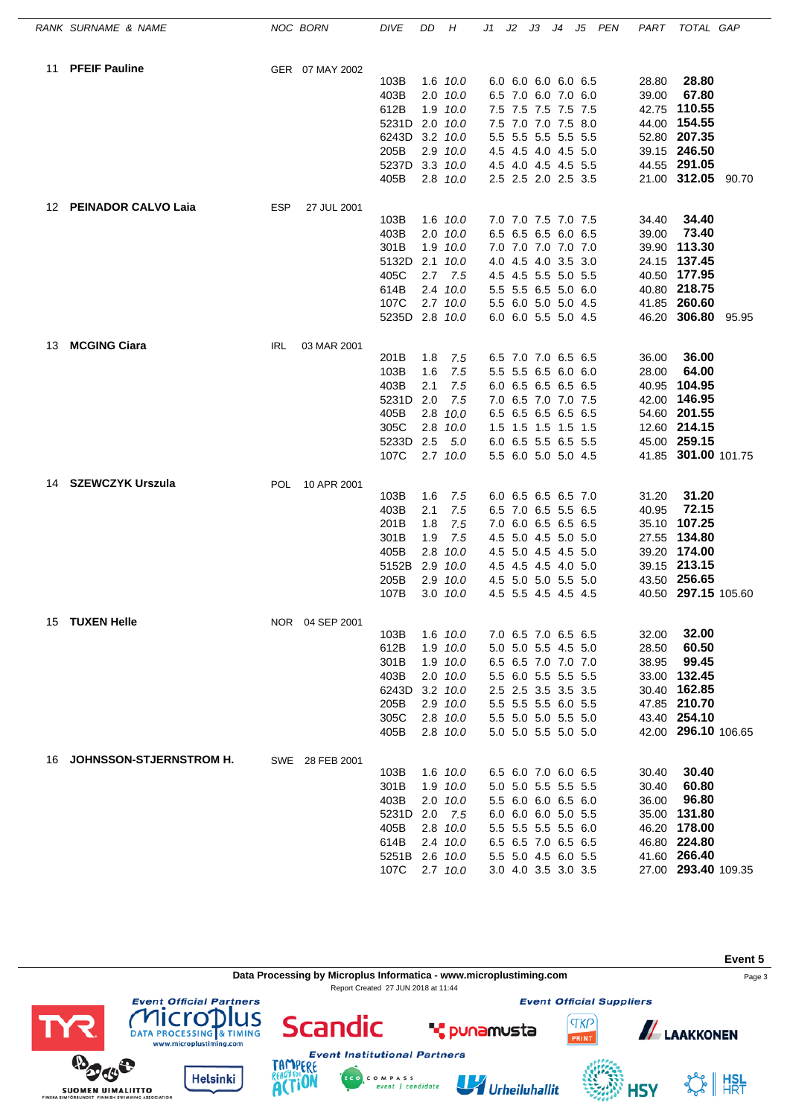|    | RANK SURNAME & NAME        |            | NOC BORN        | DIVE           | DD  | Н                    | J1 | J2 | J3 J4 J5 PEN                               |  | PART  | TOTAL GAP                    |  |
|----|----------------------------|------------|-----------------|----------------|-----|----------------------|----|----|--------------------------------------------|--|-------|------------------------------|--|
| 11 | <b>PFEIF Pauline</b>       |            | GER 07 MAY 2002 |                |     |                      |    |    |                                            |  |       |                              |  |
|    |                            |            |                 | 103B           |     | 1.6 10.0             |    |    | 6.0 6.0 6.0 6.0 6.5                        |  | 28.80 | 28.80                        |  |
|    |                            |            |                 | 403B           |     | $2.0$ $10.0$         |    |    | 6.5 7.0 6.0 7.0 6.0                        |  | 39.00 | 67.80                        |  |
|    |                            |            |                 | 612B           |     | 1.9 10.0             |    |    | 7.5 7.5 7.5 7.5 7.5                        |  | 42.75 | 110.55                       |  |
|    |                            |            |                 | 5231D          |     | 2.0 10.0             |    |    | 7.5 7.0 7.0 7.5 8.0                        |  |       | 44.00 154.55                 |  |
|    |                            |            |                 | 6243D          |     | 3.2 10.0             |    |    | 5.5 5.5 5.5 5.5 5.5                        |  |       | 52.80 207.35                 |  |
|    |                            |            |                 | 205B           |     | 2.9 10.0             |    |    | 4.5 4.5 4.0 4.5 5.0                        |  |       | 39.15 246.50                 |  |
|    |                            |            |                 | 5237D          |     | 3.3 10.0             |    |    | 4.5 4.0 4.5 4.5 5.5                        |  |       | 44.55 291.05                 |  |
|    |                            |            |                 | 405B           |     | 2.8 10.0             |    |    | 2.5 2.5 2.0 2.5 3.5                        |  |       | 21.00 312.05 90.70           |  |
| 12 | <b>PEINADOR CALVO Laia</b> | <b>ESP</b> | 27 JUL 2001     |                |     |                      |    |    |                                            |  |       |                              |  |
|    |                            |            |                 | 103B           |     | 1.6 10.0             |    |    | 7.0 7.0 7.5 7.0 7.5                        |  | 34.40 | 34.40                        |  |
|    |                            |            |                 | 403B           |     | 2.0 10.0             |    |    | 6.5 6.5 6.5 6.0 6.5                        |  | 39.00 | 73.40                        |  |
|    |                            |            |                 | 301B           |     | 1.9 10.0             |    |    | 7.0 7.0 7.0 7.0 7.0                        |  |       | 39.90 113.30<br>24.15 137.45 |  |
|    |                            |            |                 | 5132D<br>405C  | 2.7 | $2.1$ $10.0$<br>7.5  |    |    | 4.0 4.5 4.0 3.5 3.0<br>4.5 4.5 5.5 5.0 5.5 |  |       | 40.50 177.95                 |  |
|    |                            |            |                 | 614B           |     | $2.4$ $10.0$         |    |    | 5.5 5.5 6.5 5.0 6.0                        |  |       | 40.80 218.75                 |  |
|    |                            |            |                 | 107C           |     | $2.7$ $10.0$         |    |    | 5.5 6.0 5.0 5.0 4.5                        |  |       | 41.85 260.60                 |  |
|    |                            |            |                 | 5235D 2.8 10.0 |     |                      |    |    | 6.0 6.0 5.5 5.0 4.5                        |  |       | 46.20 306.80 95.95           |  |
| 13 | <b>MCGING Ciara</b>        |            | 03 MAR 2001     |                |     |                      |    |    |                                            |  |       |                              |  |
|    |                            | IRL        |                 | 201B           | 1.8 | 7.5                  |    |    | 6.5 7.0 7.0 6.5 6.5                        |  | 36.00 | 36.00                        |  |
|    |                            |            |                 | 103B           | 1.6 | 7.5                  |    |    | 5.5 5.5 6.5 6.0 6.0                        |  | 28.00 | 64.00                        |  |
|    |                            |            |                 | 403B           | 2.1 | 7.5                  |    |    | 6.0 6.5 6.5 6.5 6.5                        |  |       | 40.95 104.95                 |  |
|    |                            |            |                 | 5231D          | 2.0 | 7.5                  |    |    | 7.0 6.5 7.0 7.0 7.5                        |  | 42.00 | 146.95                       |  |
|    |                            |            |                 | 405B           |     | $2.8$ 10.0           |    |    | 6.5 6.5 6.5 6.5 6.5                        |  |       | 54.60 201.55                 |  |
|    |                            |            |                 | 305C           |     | 2.8 10.0             |    |    | 1.5 1.5 1.5 1.5 1.5                        |  |       | 12.60 214.15                 |  |
|    |                            |            |                 | 5233D 2.5      |     | 5.0                  |    |    | 6.0 6.5 5.5 6.5 5.5                        |  |       | 45.00 259.15                 |  |
|    |                            |            |                 | 107C           |     | $2.7$ $10.0$         |    |    | 5.5 6.0 5.0 5.0 4.5                        |  |       | 41.85 301.00 101.75          |  |
| 14 | SZEWCZYK Urszula           | <b>POL</b> | 10 APR 2001     |                |     |                      |    |    |                                            |  |       |                              |  |
|    |                            |            |                 | 103B           | 1.6 | 7.5                  |    |    | 6.0 6.5 6.5 6.5 7.0                        |  | 31.20 | 31.20                        |  |
|    |                            |            |                 | 403B           | 2.1 | 7.5                  |    |    | 6.5 7.0 6.5 5.5 6.5                        |  | 40.95 | 72.15                        |  |
|    |                            |            |                 | 201B           | 1.8 | 7.5                  |    |    | 7.0 6.0 6.5 6.5 6.5                        |  |       | 35.10 107.25                 |  |
|    |                            |            |                 | 301B           | 1.9 | 7.5                  |    |    | 4.5 5.0 4.5 5.0 5.0                        |  |       | 27.55 134.80                 |  |
|    |                            |            |                 | 405B           |     | $2.8$ 10.0           |    |    | 4.5 5.0 4.5 4.5 5.0                        |  |       | 39.20 174.00                 |  |
|    |                            |            |                 | 5152B          |     | 2.9 10.0             |    |    | 4.5 4.5 4.5 4.0 5.0                        |  |       | 39.15 213.15                 |  |
|    |                            |            |                 | 205B           |     | 2.9 10.0             |    |    | 4.5 5.0 5.0 5.5 5.0                        |  |       | 43.50 256.65                 |  |
|    |                            |            |                 | 107B           |     | 3.0 10.0             |    |    | 4.5 5.5 4.5 4.5 4.5                        |  |       | 40.50 297.15 105.60          |  |
| 15 | <b>TUXEN Helle</b>         |            | NOR 04 SEP 2001 |                |     |                      |    |    |                                            |  |       |                              |  |
|    |                            |            |                 | 103B           |     | 1.6 10.0             |    |    | 7.0 6.5 7.0 6.5 6.5                        |  | 32.00 | 32.00<br>60.50               |  |
|    |                            |            |                 | 612B           |     | 1.9 10.0             |    |    | 5.0 5.0 5.5 4.5 5.0                        |  | 28.50 | 99.45                        |  |
|    |                            |            |                 | 301B<br>403B   |     | 1.9 10.0<br>2.0 10.0 |    |    | 6.5 6.5 7.0 7.0 7.0<br>5.5 6.0 5.5 5.5 5.5 |  | 38.95 | 33.00 132.45                 |  |
|    |                            |            |                 | 6243D          |     | 3.2 10.0             |    |    | 2.5 2.5 3.5 3.5 3.5                        |  |       | 30.40 162.85                 |  |
|    |                            |            |                 | 205B           |     | 2.9 10.0             |    |    | 5.5 5.5 5.5 6.0 5.5                        |  |       | 47.85 210.70                 |  |
|    |                            |            |                 | 305C           |     | 2.8 10.0             |    |    | 5.5 5.0 5.0 5.5 5.0                        |  |       | 43.40 254.10                 |  |
|    |                            |            |                 | 405B           |     | 2.8 10.0             |    |    | 5.0 5.0 5.5 5.0 5.0                        |  |       | 42.00 296.10 106.65          |  |
|    | 16 JOHNSSON-STJERNSTROM H. |            |                 |                |     |                      |    |    |                                            |  |       |                              |  |
|    |                            |            | SWE 28 FEB 2001 | 103B           |     | 1.6 10.0             |    |    | 6.5 6.0 7.0 6.0 6.5                        |  | 30.40 | 30.40                        |  |
|    |                            |            |                 | 301B           |     | 1.9 10.0             |    |    | 5.0 5.0 5.5 5.5 5.5                        |  | 30.40 | 60.80                        |  |
|    |                            |            |                 | 403B           |     | $2.0$ $10.0$         |    |    | 5.5 6.0 6.0 6.5 6.0                        |  | 36.00 | 96.80                        |  |
|    |                            |            |                 | 5231D          | 2.0 | 7.5                  |    |    | 6.0 6.0 6.0 5.0 5.5                        |  |       | 35.00 131.80                 |  |
|    |                            |            |                 | 405B           |     | 2.8 10.0             |    |    | 5.5 5.5 5.5 5.5 6.0                        |  |       | 46.20 178.00                 |  |
|    |                            |            |                 | 614B           |     | 2.4 10.0             |    |    | 6.5 6.5 7.0 6.5 6.5                        |  |       | 46.80 224.80                 |  |
|    |                            |            |                 | 5251B 2.6 10.0 |     |                      |    |    | 5.5 5.0 4.5 6.0 5.5                        |  |       | 41.60 266.40                 |  |
|    |                            |            |                 | 107C           |     | 2.7 10.0             |    |    | 3.0 4.0 3.5 3.0 3.5                        |  |       | 27.00 293.40 109.35          |  |

**Event 5 Data Processing by Microplus Informatica - www.microplustiming.com** Page 3 Report Created 27 JUN 2018 at 11:44**Event Official Partners Event Official Suppliers COMPLETED**<br>DATA PROCESSING & TIMING<br>www.microplustiming.com **Scandic TKP ALAAKKONEN T** punamusta **Event Institutional Partners BOOS** TAMP ERE

C O M P A S S<br>event | candidate

Urheiluhallit

**Helsinki** 

**SUOMEN UIMALIITTO** 

**ACTION** 

SS HISL

**HSY**